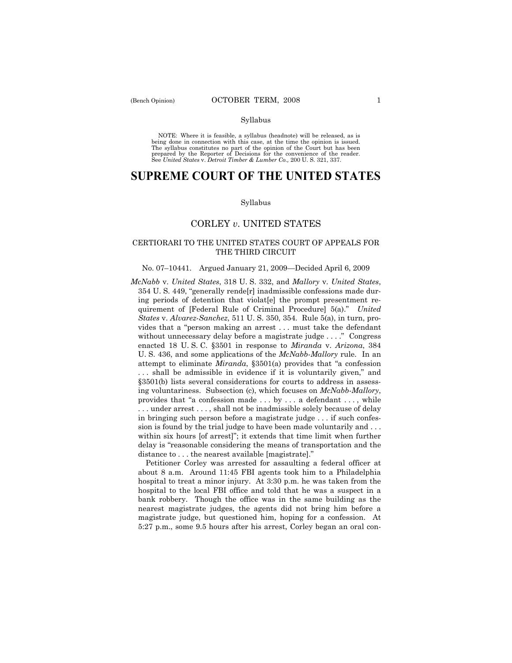NOTE: Where it is feasible, a syllabus (headnote) will be released, as is being done in connection with this case, at the time the opinion is issued. The syllabus constitutes no part of the opinion of the Court but has been<br>prepared by the Reporter of Decisions for the convenience of the reader.<br>See United States v. Detroit Timber & Lumber Co., 200 U. S. 321, 337.

# **SUPREME COURT OF THE UNITED STATES**

#### Syllabus

# CORLEY *v*. UNITED STATES

# CERTIORARI TO THE UNITED STATES COURT OF APPEALS FOR THE THIRD CIRCUIT

### No. 07–10441. Argued January 21, 2009—Decided April 6, 2009

*McNabb* v. *United States*, 318 U. S. 332, and *Mallory* v. *United States*, 354 U. S. 449, "generally rende[r] inadmissible confessions made during periods of detention that violat[e] the prompt presentment requirement of [Federal Rule of Criminal Procedure] 5(a)." *United States* v. *Alvarez-Sanchez*, 511 U. S. 350, 354. Rule 5(a), in turn, provides that a "person making an arrest . . . must take the defendant without unnecessary delay before a magistrate judge . . . ." Congress enacted 18 U. S. C. §3501 in response to *Miranda* v. *Arizona*, 384 U. S. 436, and some applications of the *McNabb-Mallory* rule. In an attempt to eliminate *Miranda*, §3501(a) provides that "a confession . . . shall be admissible in evidence if it is voluntarily given," and §3501(b) lists several considerations for courts to address in assessing voluntariness. Subsection (c), which focuses on *McNabb-Mallory*, provides that "a confession made . . . by . . . a defendant . . . , while . . . under arrest . . . , shall not be inadmissible solely because of delay in bringing such person before a magistrate judge . . . if such confession is found by the trial judge to have been made voluntarily and . . . within six hours [of arrest]"; it extends that time limit when further delay is "reasonable considering the means of transportation and the distance to . . . the nearest available [magistrate]."

 Petitioner Corley was arrested for assaulting a federal officer at about 8 a.m. Around 11:45 FBI agents took him to a Philadelphia hospital to treat a minor injury. At 3:30 p.m. he was taken from the hospital to the local FBI office and told that he was a suspect in a bank robbery. Though the office was in the same building as the nearest magistrate judges, the agents did not bring him before a magistrate judge, but questioned him, hoping for a confession. At 5:27 p.m., some 9.5 hours after his arrest, Corley began an oral con-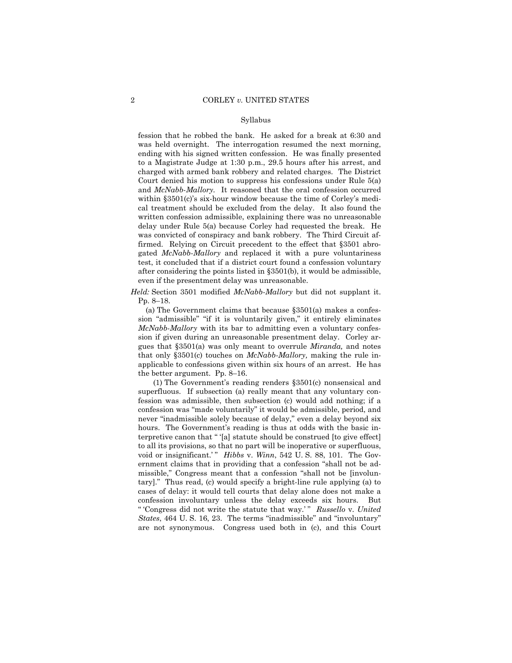fession that he robbed the bank. He asked for a break at 6:30 and was held overnight. The interrogation resumed the next morning, ending with his signed written confession. He was finally presented to a Magistrate Judge at 1:30 p.m., 29.5 hours after his arrest, and charged with armed bank robbery and related charges. The District Court denied his motion to suppress his confessions under Rule 5(a) and *McNabb-Mallory.* It reasoned that the oral confession occurred within §3501(c)'s six-hour window because the time of Corley's medical treatment should be excluded from the delay. It also found the written confession admissible, explaining there was no unreasonable delay under Rule 5(a) because Corley had requested the break. He was convicted of conspiracy and bank robbery. The Third Circuit affirmed. Relying on Circuit precedent to the effect that §3501 abrogated *McNabb-Mallory* and replaced it with a pure voluntariness test, it concluded that if a district court found a confession voluntary after considering the points listed in §3501(b), it would be admissible, even if the presentment delay was unreasonable.

*Held:* Section 3501 modified *McNabb-Mallory* but did not supplant it. Pp. 8–18.

 (a) The Government claims that because §3501(a) makes a confession "admissible" "if it is voluntarily given," it entirely eliminates *McNabb-Mallory* with its bar to admitting even a voluntary confession if given during an unreasonable presentment delay. Corley argues that §3501(a) was only meant to overrule *Miranda,* and notes that only §3501(c) touches on *McNabb-Mallory,* making the rule inapplicable to confessions given within six hours of an arrest. He has the better argument. Pp. 8–16.

 (1) The Government's reading renders §3501(c) nonsensical and superfluous. If subsection (a) really meant that any voluntary confession was admissible, then subsection (c) would add nothing; if a confession was "made voluntarily" it would be admissible, period, and never "inadmissible solely because of delay," even a delay beyond six hours. The Government's reading is thus at odds with the basic interpretive canon that " '[a] statute should be construed [to give effect] to all its provisions, so that no part will be inoperative or superfluous, void or insignificant.'" *Hibbs* v. *Winn*, 542 U.S. 88, 101. The Government claims that in providing that a confession "shall not be admissible," Congress meant that a confession "shall not be [involuntary]." Thus read, (c) would specify a bright-line rule applying (a) to cases of delay: it would tell courts that delay alone does not make a confession involuntary unless the delay exceeds six hours. But " 'Congress did not write the statute that way.' " *Russello* v. *United States*, 464 U. S. 16, 23. The terms "inadmissible" and "involuntary" are not synonymous. Congress used both in (c), and this Court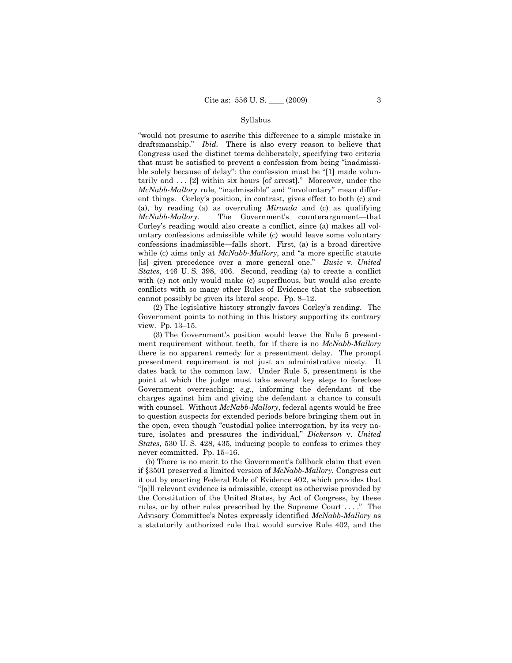"would not presume to ascribe this difference to a simple mistake in draftsmanship." *Ibid.* There is also every reason to believe that Congress used the distinct terms deliberately, specifying two criteria that must be satisfied to prevent a confession from being "inadmissible solely because of delay": the confession must be "[1] made voluntarily and . . . [2] within six hours [of arrest]." Moreover, under the *McNabb-Mallory* rule, "inadmissible" and "involuntary" mean different things. Corley's position, in contrast, gives effect to both (c) and (a), by reading (a) as overruling *Miranda* and (c) as qualifying *McNabb-Mallory*. The Government's counterargument—that Corley's reading would also create a conflict, since (a) makes all voluntary confessions admissible while (c) would leave some voluntary confessions inadmissible—falls short. First, (a) is a broad directive while (c) aims only at *McNabb-Mallory*, and "a more specific statute [is] given precedence over a more general one." *Busic* v. *United States*, 446 U. S. 398, 406. Second, reading (a) to create a conflict with (c) not only would make (c) superfluous, but would also create conflicts with so many other Rules of Evidence that the subsection cannot possibly be given its literal scope. Pp. 8–12.

 (2) The legislative history strongly favors Corley's reading. The Government points to nothing in this history supporting its contrary view. Pp. 13–15.

 (3) The Government's position would leave the Rule 5 presentment requirement without teeth, for if there is no *McNabb-Mallory* there is no apparent remedy for a presentment delay. The prompt presentment requirement is not just an administrative nicety. It dates back to the common law. Under Rule 5, presentment is the point at which the judge must take several key steps to foreclose Government overreaching: *e.g.,* informing the defendant of the charges against him and giving the defendant a chance to consult with counsel. Without *McNabb-Mallory*, federal agents would be free to question suspects for extended periods before bringing them out in the open, even though "custodial police interrogation, by its very nature, isolates and pressures the individual," *Dickerson* v. *United States*, 530 U. S. 428, 435, inducing people to confess to crimes they never committed. Pp. 15–16.

 (b) There is no merit to the Government's fallback claim that even if §3501 preserved a limited version of *McNabb-Mallory*, Congress cut it out by enacting Federal Rule of Evidence 402, which provides that "[a]ll relevant evidence is admissible, except as otherwise provided by the Constitution of the United States, by Act of Congress, by these rules, or by other rules prescribed by the Supreme Court . . . ." The Advisory Committee's Notes expressly identified *McNabb-Mallory* as a statutorily authorized rule that would survive Rule 402, and the